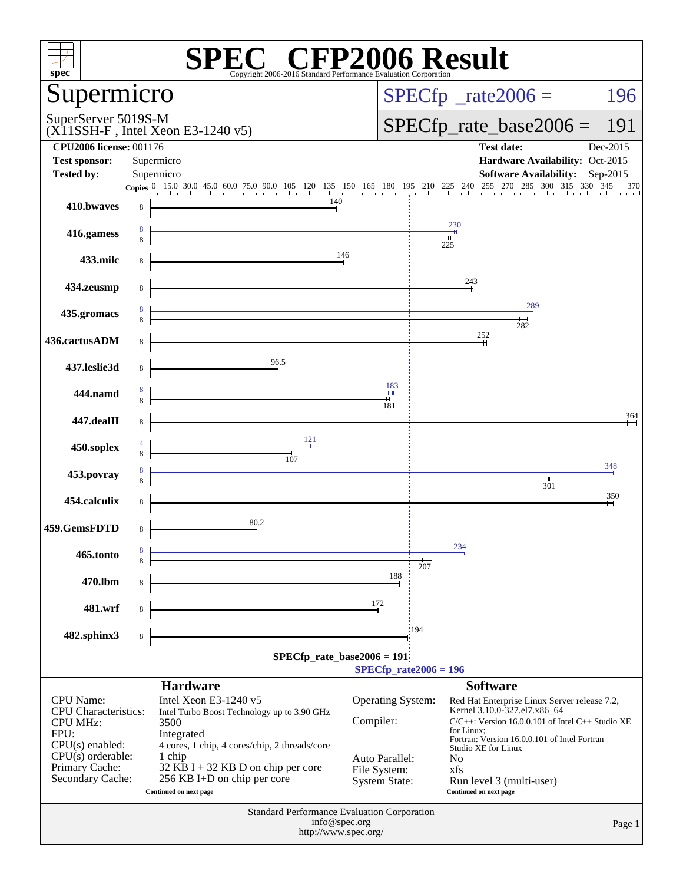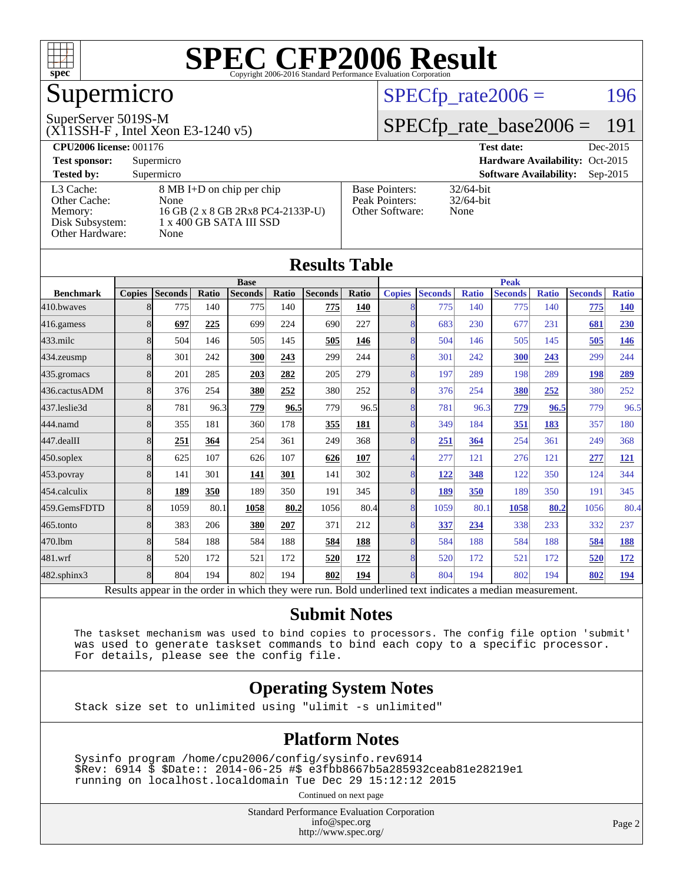

# Supermicro

#### SuperServer 5019S-M

(X11SSH-F , Intel Xeon E3-1240 v5)

#### $SPECTp_rate2006 = 196$

## [SPECfp\\_rate\\_base2006 =](http://www.spec.org/auto/cpu2006/Docs/result-fields.html#SPECfpratebase2006) 191

| <b>CPU2006 license: 001176</b> |                                   |                       | <b>Test date:</b><br>Dec-2015               |  |  |  |  |
|--------------------------------|-----------------------------------|-----------------------|---------------------------------------------|--|--|--|--|
| <b>Test sponsor:</b>           | Supermicro                        |                       | Hardware Availability: Oct-2015             |  |  |  |  |
| <b>Tested by:</b>              | Supermicro                        |                       | <b>Software Availability:</b><br>$Sep-2015$ |  |  |  |  |
| L3 Cache:                      | 8 MB I+D on chip per chip         | <b>Base Pointers:</b> | $32/64$ -bit                                |  |  |  |  |
| Other Cache:                   | None                              | Peak Pointers:        | $32/64$ -bit                                |  |  |  |  |
| Memory:                        | 16 GB (2 x 8 GB 2Rx8 PC4-2133P-U) | Other Software:       | None                                        |  |  |  |  |
| Disk Subsystem:                | 1 x 400 GB SATA III SSD           |                       |                                             |  |  |  |  |
| Other Hardware:                | None                              |                       |                                             |  |  |  |  |

|                   |               |                |       |                                                                                                          |       | <b>Results Table</b> |              |               |                |              |                |              |                |              |
|-------------------|---------------|----------------|-------|----------------------------------------------------------------------------------------------------------|-------|----------------------|--------------|---------------|----------------|--------------|----------------|--------------|----------------|--------------|
|                   |               |                |       | <b>Base</b>                                                                                              |       |                      |              |               |                |              | <b>Peak</b>    |              |                |              |
| <b>Benchmark</b>  | <b>Copies</b> | <b>Seconds</b> | Ratio | <b>Seconds</b>                                                                                           | Ratio | <b>Seconds</b>       | <b>Ratio</b> | <b>Copies</b> | <b>Seconds</b> | <b>Ratio</b> | <b>Seconds</b> | <b>Ratio</b> | <b>Seconds</b> | <b>Ratio</b> |
| 410.bwayes        | 8             | 775            | 140   | 775                                                                                                      | 140   | 775                  | 140          | 8             | 775            | 140          | 775            | 140          | 775            | <u>140</u>   |
| 416.gamess        | 8             | 697            | 225   | 699                                                                                                      | 224   | 690                  | 227          | 8             | 683            | 230          | 677            | 231          | 681            | 230          |
| $433$ .milc       | 8             | 504            | 146   | 505                                                                                                      | 145   | 505                  | 146          | 8             | 504            | 146          | 505            | 145          | 505            | <u>146</u>   |
| $434$ . zeusmp    | 8             | 301            | 242   | 300                                                                                                      | 243   | 299                  | 244          | 8             | 301            | 242          | 300            | 243          | 299            | 244          |
| 435.gromacs       | 8             | 201            | 285   | 203                                                                                                      | 282   | 205                  | 279          | 8             | 197            | 289          | 198            | 289          | 198            | 289          |
| 436.cactusADM     | 8             | 376            | 254   | 380                                                                                                      | 252   | 380                  | 252          | 8             | 376            | 254          | 380            | 252          | 380            | 252          |
| 437.leslie3d      | 8             | 781            | 96.3  | 779                                                                                                      | 96.5  | 779                  | 96.5         | 8             | 781            | 96.3         | 779            | 96.5         | 779            | 96.5         |
| 444.namd          | 8             | 355            | 181   | 360                                                                                                      | 178   | 355                  | 181          | 8             | 349            | 184          | 351            | 183          | 357            | 180          |
| $447$ .dealII     | 8             | 251            | 364   | 254                                                                                                      | 361   | 249                  | 368          | 8             | 251            | 364          | 254            | 361          | 249            | 368          |
| $450$ .soplex     | 8             | 625            | 107   | 626                                                                                                      | 107   | 626                  | 107          | 4             | 277            | 121          | 276            | 121          | 277            | <b>121</b>   |
| 453.povray        | 8             | 141            | 301   | 141                                                                                                      | 301   | 141                  | 302          | 8             | <u>122</u>     | 348          | 122            | 350          | 124            | 344          |
| 454.calculix      | 8             | 189            | 350   | 189                                                                                                      | 350   | 191                  | 345          | 8             | 189            | 350          | 189            | 350          | 191            | 345          |
| 459.GemsFDTD      | 8             | 1059           | 80.1  | 1058                                                                                                     | 80.2  | 1056                 | 80.4         | 8             | 1059           | 80.1         | 1058           | 80.2         | 1056           | 80.4         |
| $465$ .tonto      | 8             | 383            | 206   | 380                                                                                                      | 207   | 371                  | 212          | 8             | 337            | 234          | 338            | 233          | 332            | 237          |
| 470.1bm           | 8             | 584            | 188   | 584                                                                                                      | 188   | 584                  | 188          | 8             | 584            | 188          | 584            | 188          | 584            | <b>188</b>   |
| 481.wrf           | 8             | 520            | 172   | 521                                                                                                      | 172   | 520                  | 172          | 8             | 520            | 172          | 521            | 172          | 520            | <u>172</u>   |
| $482$ .sphinx $3$ | 8             | 804            | 194   | 802                                                                                                      | 194   | 802                  | 194          | 8             | 804            | 194          | 802            | 194          | 802            | <u>194</u>   |
|                   |               |                |       | Results appear in the order in which they were run. Bold underlined text indicates a median measurement. |       |                      |              |               |                |              |                |              |                |              |

#### **[Submit Notes](http://www.spec.org/auto/cpu2006/Docs/result-fields.html#SubmitNotes)**

 The taskset mechanism was used to bind copies to processors. The config file option 'submit' was used to generate taskset commands to bind each copy to a specific processor. For details, please see the config file.

#### **[Operating System Notes](http://www.spec.org/auto/cpu2006/Docs/result-fields.html#OperatingSystemNotes)**

Stack size set to unlimited using "ulimit -s unlimited"

#### **[Platform Notes](http://www.spec.org/auto/cpu2006/Docs/result-fields.html#PlatformNotes)**

 Sysinfo program /home/cpu2006/config/sysinfo.rev6914 \$Rev: 6914 \$ \$Date:: 2014-06-25 #\$ e3fbb8667b5a285932ceab81e28219e1 running on localhost.localdomain Tue Dec 29 15:12:12 2015

Continued on next page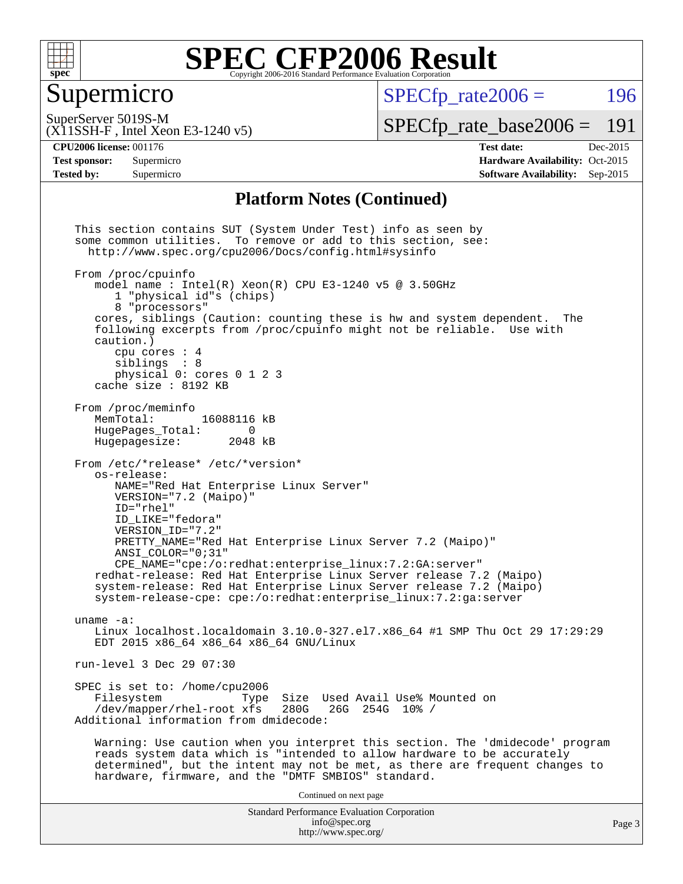

## Supermicro

 $SPECTp\_rate2006 = 196$ 

SuperServer 5019S-M

[SPECfp\\_rate\\_base2006 =](http://www.spec.org/auto/cpu2006/Docs/result-fields.html#SPECfpratebase2006) 191

(X11SSH-F , Intel Xeon E3-1240 v5)

**[CPU2006 license:](http://www.spec.org/auto/cpu2006/Docs/result-fields.html#CPU2006license)** 001176 **[Test date:](http://www.spec.org/auto/cpu2006/Docs/result-fields.html#Testdate)** Dec-2015 **[Test sponsor:](http://www.spec.org/auto/cpu2006/Docs/result-fields.html#Testsponsor)** Supermicro Supermicro **[Hardware Availability:](http://www.spec.org/auto/cpu2006/Docs/result-fields.html#HardwareAvailability)** Oct-2015 **[Tested by:](http://www.spec.org/auto/cpu2006/Docs/result-fields.html#Testedby)** Supermicro **[Software Availability:](http://www.spec.org/auto/cpu2006/Docs/result-fields.html#SoftwareAvailability)** Sep-2015

#### **[Platform Notes \(Continued\)](http://www.spec.org/auto/cpu2006/Docs/result-fields.html#PlatformNotes)**

Standard Performance Evaluation Corporation [info@spec.org](mailto:info@spec.org) <http://www.spec.org/> This section contains SUT (System Under Test) info as seen by some common utilities. To remove or add to this section, see: <http://www.spec.org/cpu2006/Docs/config.html#sysinfo> From /proc/cpuinfo model name : Intel $(R)$  Xeon $(R)$  CPU E3-1240 v5 @ 3.50GHz 1 "physical id"s (chips) 8 "processors" cores, siblings (Caution: counting these is hw and system dependent. The following excerpts from /proc/cpuinfo might not be reliable. Use with caution.) cpu cores : 4 siblings : 8 physical 0: cores 0 1 2 3 cache size : 8192 KB From /proc/meminfo MemTotal: 16088116 kB<br>HugePages Total: 0 HugePages\_Total: 0<br>Hugepagesize: 2048 kB Hugepagesize: From /etc/\*release\* /etc/\*version\* os-release: NAME="Red Hat Enterprise Linux Server" VERSION="7.2 (Maipo)" ID="rhel" ID\_LIKE="fedora" VERSION\_ID="7.2" PRETTY\_NAME="Red Hat Enterprise Linux Server 7.2 (Maipo)" ANSI\_COLOR="0;31" CPE\_NAME="cpe:/o:redhat:enterprise\_linux:7.2:GA:server" redhat-release: Red Hat Enterprise Linux Server release 7.2 (Maipo) system-release: Red Hat Enterprise Linux Server release 7.2 (Maipo) system-release-cpe: cpe:/o:redhat:enterprise\_linux:7.2:ga:server uname -a: Linux localhost.localdomain 3.10.0-327.el7.x86\_64 #1 SMP Thu Oct 29 17:29:29 EDT 2015 x86\_64 x86\_64 x86\_64 GNU/Linux run-level 3 Dec 29 07:30 SPEC is set to: /home/cpu2006 Type Size Used Avail Use% Mounted on<br>xfs 280G 26G 254G 10% / /dev/mapper/rhel-root xfs 280G Additional information from dmidecode: Warning: Use caution when you interpret this section. The 'dmidecode' program reads system data which is "intended to allow hardware to be accurately determined", but the intent may not be met, as there are frequent changes to hardware, firmware, and the "DMTF SMBIOS" standard. Continued on next page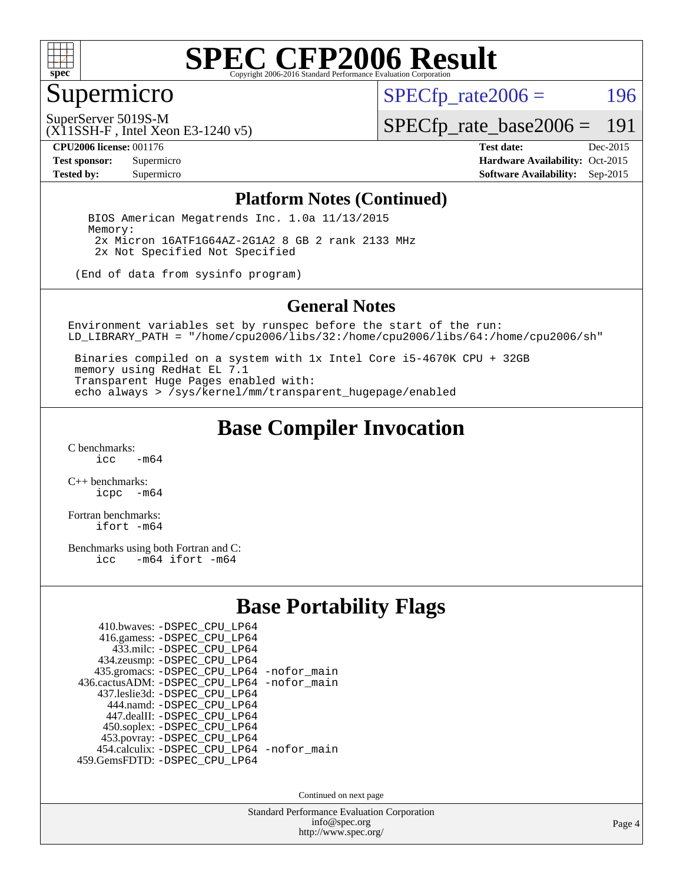

## Supermicro

 $SPECTp_rate2006 = 196$ 

SuperServer 5019S-M

[SPECfp\\_rate\\_base2006 =](http://www.spec.org/auto/cpu2006/Docs/result-fields.html#SPECfpratebase2006) 191

(X11SSH-F , Intel Xeon E3-1240 v5)

**[CPU2006 license:](http://www.spec.org/auto/cpu2006/Docs/result-fields.html#CPU2006license)** 001176 **[Test date:](http://www.spec.org/auto/cpu2006/Docs/result-fields.html#Testdate)** Dec-2015 **[Test sponsor:](http://www.spec.org/auto/cpu2006/Docs/result-fields.html#Testsponsor)** Supermicro Supermicro **[Hardware Availability:](http://www.spec.org/auto/cpu2006/Docs/result-fields.html#HardwareAvailability)** Oct-2015 **[Tested by:](http://www.spec.org/auto/cpu2006/Docs/result-fields.html#Testedby)** Supermicro **Supermicro [Software Availability:](http://www.spec.org/auto/cpu2006/Docs/result-fields.html#SoftwareAvailability)** Sep-2015

#### **[Platform Notes \(Continued\)](http://www.spec.org/auto/cpu2006/Docs/result-fields.html#PlatformNotes)**

 BIOS American Megatrends Inc. 1.0a 11/13/2015 Memory: 2x Micron 16ATF1G64AZ-2G1A2 8 GB 2 rank 2133 MHz 2x Not Specified Not Specified

(End of data from sysinfo program)

#### **[General Notes](http://www.spec.org/auto/cpu2006/Docs/result-fields.html#GeneralNotes)**

Environment variables set by runspec before the start of the run: LD\_LIBRARY\_PATH = "/home/cpu2006/libs/32:/home/cpu2006/libs/64:/home/cpu2006/sh"

 Binaries compiled on a system with 1x Intel Core i5-4670K CPU + 32GB memory using RedHat EL 7.1 Transparent Huge Pages enabled with: echo always > /sys/kernel/mm/transparent\_hugepage/enabled

### **[Base Compiler Invocation](http://www.spec.org/auto/cpu2006/Docs/result-fields.html#BaseCompilerInvocation)**

 $C$  benchmarks:<br>icc  $-m64$ 

[C++ benchmarks:](http://www.spec.org/auto/cpu2006/Docs/result-fields.html#CXXbenchmarks) [icpc -m64](http://www.spec.org/cpu2006/results/res2016q1/cpu2006-20160106-38563.flags.html#user_CXXbase_intel_icpc_64bit_bedb90c1146cab66620883ef4f41a67e)

[Fortran benchmarks](http://www.spec.org/auto/cpu2006/Docs/result-fields.html#Fortranbenchmarks): [ifort -m64](http://www.spec.org/cpu2006/results/res2016q1/cpu2006-20160106-38563.flags.html#user_FCbase_intel_ifort_64bit_ee9d0fb25645d0210d97eb0527dcc06e)

[Benchmarks using both Fortran and C](http://www.spec.org/auto/cpu2006/Docs/result-fields.html#BenchmarksusingbothFortranandC): [icc -m64](http://www.spec.org/cpu2006/results/res2016q1/cpu2006-20160106-38563.flags.html#user_CC_FCbase_intel_icc_64bit_0b7121f5ab7cfabee23d88897260401c) [ifort -m64](http://www.spec.org/cpu2006/results/res2016q1/cpu2006-20160106-38563.flags.html#user_CC_FCbase_intel_ifort_64bit_ee9d0fb25645d0210d97eb0527dcc06e)

### **[Base Portability Flags](http://www.spec.org/auto/cpu2006/Docs/result-fields.html#BasePortabilityFlags)**

| 410.bwaves: -DSPEC CPU LP64                |  |
|--------------------------------------------|--|
| 416.gamess: -DSPEC_CPU_LP64                |  |
| 433.milc: -DSPEC CPU LP64                  |  |
| 434.zeusmp: -DSPEC_CPU_LP64                |  |
| 435.gromacs: -DSPEC_CPU_LP64 -nofor_main   |  |
| 436.cactusADM: -DSPEC CPU LP64 -nofor main |  |
| 437.leslie3d: -DSPEC CPU LP64              |  |
| 444.namd: - DSPEC CPU LP64                 |  |
| 447.dealII: -DSPEC_CPU LP64                |  |
| 450.soplex: -DSPEC_CPU_LP64                |  |
| 453.povray: -DSPEC_CPU_LP64                |  |
| 454.calculix: - DSPEC_CPU_LP64 -nofor_main |  |
| 459. GemsFDTD: - DSPEC CPU LP64            |  |

Continued on next page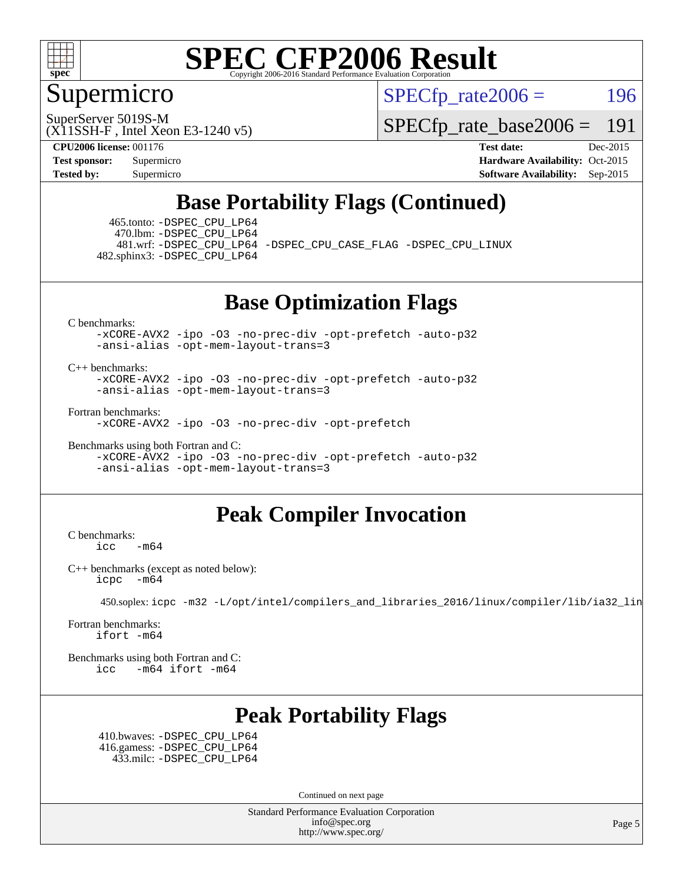

## Supermicro

 $SPECTp\_rate2006 = 196$ 

SuperServer 5019S-M

[SPECfp\\_rate\\_base2006 =](http://www.spec.org/auto/cpu2006/Docs/result-fields.html#SPECfpratebase2006) 191

(X11SSH-F , Intel Xeon E3-1240 v5)

**[CPU2006 license:](http://www.spec.org/auto/cpu2006/Docs/result-fields.html#CPU2006license)** 001176 **[Test date:](http://www.spec.org/auto/cpu2006/Docs/result-fields.html#Testdate)** Dec-2015 **[Test sponsor:](http://www.spec.org/auto/cpu2006/Docs/result-fields.html#Testsponsor)** Supermicro Supermicro **[Hardware Availability:](http://www.spec.org/auto/cpu2006/Docs/result-fields.html#HardwareAvailability)** Oct-2015 **[Tested by:](http://www.spec.org/auto/cpu2006/Docs/result-fields.html#Testedby)** Supermicro **Supermicro [Software Availability:](http://www.spec.org/auto/cpu2006/Docs/result-fields.html#SoftwareAvailability)** Sep-2015

## **[Base Portability Flags \(Continued\)](http://www.spec.org/auto/cpu2006/Docs/result-fields.html#BasePortabilityFlags)**

 465.tonto: [-DSPEC\\_CPU\\_LP64](http://www.spec.org/cpu2006/results/res2016q1/cpu2006-20160106-38563.flags.html#suite_basePORTABILITY465_tonto_DSPEC_CPU_LP64) 470.lbm: [-DSPEC\\_CPU\\_LP64](http://www.spec.org/cpu2006/results/res2016q1/cpu2006-20160106-38563.flags.html#suite_basePORTABILITY470_lbm_DSPEC_CPU_LP64) 482.sphinx3: [-DSPEC\\_CPU\\_LP64](http://www.spec.org/cpu2006/results/res2016q1/cpu2006-20160106-38563.flags.html#suite_basePORTABILITY482_sphinx3_DSPEC_CPU_LP64)

481.wrf: [-DSPEC\\_CPU\\_LP64](http://www.spec.org/cpu2006/results/res2016q1/cpu2006-20160106-38563.flags.html#suite_basePORTABILITY481_wrf_DSPEC_CPU_LP64) [-DSPEC\\_CPU\\_CASE\\_FLAG](http://www.spec.org/cpu2006/results/res2016q1/cpu2006-20160106-38563.flags.html#b481.wrf_baseCPORTABILITY_DSPEC_CPU_CASE_FLAG) [-DSPEC\\_CPU\\_LINUX](http://www.spec.org/cpu2006/results/res2016q1/cpu2006-20160106-38563.flags.html#b481.wrf_baseCPORTABILITY_DSPEC_CPU_LINUX)

**[Base Optimization Flags](http://www.spec.org/auto/cpu2006/Docs/result-fields.html#BaseOptimizationFlags)**

[C benchmarks](http://www.spec.org/auto/cpu2006/Docs/result-fields.html#Cbenchmarks):

[-xCORE-AVX2](http://www.spec.org/cpu2006/results/res2016q1/cpu2006-20160106-38563.flags.html#user_CCbase_f-xAVX2_5f5fc0cbe2c9f62c816d3e45806c70d7) [-ipo](http://www.spec.org/cpu2006/results/res2016q1/cpu2006-20160106-38563.flags.html#user_CCbase_f-ipo) [-O3](http://www.spec.org/cpu2006/results/res2016q1/cpu2006-20160106-38563.flags.html#user_CCbase_f-O3) [-no-prec-div](http://www.spec.org/cpu2006/results/res2016q1/cpu2006-20160106-38563.flags.html#user_CCbase_f-no-prec-div) [-opt-prefetch](http://www.spec.org/cpu2006/results/res2016q1/cpu2006-20160106-38563.flags.html#user_CCbase_f-opt-prefetch) [-auto-p32](http://www.spec.org/cpu2006/results/res2016q1/cpu2006-20160106-38563.flags.html#user_CCbase_f-auto-p32) [-ansi-alias](http://www.spec.org/cpu2006/results/res2016q1/cpu2006-20160106-38563.flags.html#user_CCbase_f-ansi-alias) [-opt-mem-layout-trans=3](http://www.spec.org/cpu2006/results/res2016q1/cpu2006-20160106-38563.flags.html#user_CCbase_f-opt-mem-layout-trans_a7b82ad4bd7abf52556d4961a2ae94d5)

[C++ benchmarks:](http://www.spec.org/auto/cpu2006/Docs/result-fields.html#CXXbenchmarks)

[-xCORE-AVX2](http://www.spec.org/cpu2006/results/res2016q1/cpu2006-20160106-38563.flags.html#user_CXXbase_f-xAVX2_5f5fc0cbe2c9f62c816d3e45806c70d7) [-ipo](http://www.spec.org/cpu2006/results/res2016q1/cpu2006-20160106-38563.flags.html#user_CXXbase_f-ipo) [-O3](http://www.spec.org/cpu2006/results/res2016q1/cpu2006-20160106-38563.flags.html#user_CXXbase_f-O3) [-no-prec-div](http://www.spec.org/cpu2006/results/res2016q1/cpu2006-20160106-38563.flags.html#user_CXXbase_f-no-prec-div) [-opt-prefetch](http://www.spec.org/cpu2006/results/res2016q1/cpu2006-20160106-38563.flags.html#user_CXXbase_f-opt-prefetch) [-auto-p32](http://www.spec.org/cpu2006/results/res2016q1/cpu2006-20160106-38563.flags.html#user_CXXbase_f-auto-p32) [-ansi-alias](http://www.spec.org/cpu2006/results/res2016q1/cpu2006-20160106-38563.flags.html#user_CXXbase_f-ansi-alias) [-opt-mem-layout-trans=3](http://www.spec.org/cpu2006/results/res2016q1/cpu2006-20160106-38563.flags.html#user_CXXbase_f-opt-mem-layout-trans_a7b82ad4bd7abf52556d4961a2ae94d5)

[Fortran benchmarks](http://www.spec.org/auto/cpu2006/Docs/result-fields.html#Fortranbenchmarks):

[-xCORE-AVX2](http://www.spec.org/cpu2006/results/res2016q1/cpu2006-20160106-38563.flags.html#user_FCbase_f-xAVX2_5f5fc0cbe2c9f62c816d3e45806c70d7) [-ipo](http://www.spec.org/cpu2006/results/res2016q1/cpu2006-20160106-38563.flags.html#user_FCbase_f-ipo) [-O3](http://www.spec.org/cpu2006/results/res2016q1/cpu2006-20160106-38563.flags.html#user_FCbase_f-O3) [-no-prec-div](http://www.spec.org/cpu2006/results/res2016q1/cpu2006-20160106-38563.flags.html#user_FCbase_f-no-prec-div) [-opt-prefetch](http://www.spec.org/cpu2006/results/res2016q1/cpu2006-20160106-38563.flags.html#user_FCbase_f-opt-prefetch)

[Benchmarks using both Fortran and C](http://www.spec.org/auto/cpu2006/Docs/result-fields.html#BenchmarksusingbothFortranandC):

[-xCORE-AVX2](http://www.spec.org/cpu2006/results/res2016q1/cpu2006-20160106-38563.flags.html#user_CC_FCbase_f-xAVX2_5f5fc0cbe2c9f62c816d3e45806c70d7) [-ipo](http://www.spec.org/cpu2006/results/res2016q1/cpu2006-20160106-38563.flags.html#user_CC_FCbase_f-ipo) [-O3](http://www.spec.org/cpu2006/results/res2016q1/cpu2006-20160106-38563.flags.html#user_CC_FCbase_f-O3) [-no-prec-div](http://www.spec.org/cpu2006/results/res2016q1/cpu2006-20160106-38563.flags.html#user_CC_FCbase_f-no-prec-div) [-opt-prefetch](http://www.spec.org/cpu2006/results/res2016q1/cpu2006-20160106-38563.flags.html#user_CC_FCbase_f-opt-prefetch) [-auto-p32](http://www.spec.org/cpu2006/results/res2016q1/cpu2006-20160106-38563.flags.html#user_CC_FCbase_f-auto-p32) [-ansi-alias](http://www.spec.org/cpu2006/results/res2016q1/cpu2006-20160106-38563.flags.html#user_CC_FCbase_f-ansi-alias) [-opt-mem-layout-trans=3](http://www.spec.org/cpu2006/results/res2016q1/cpu2006-20160106-38563.flags.html#user_CC_FCbase_f-opt-mem-layout-trans_a7b82ad4bd7abf52556d4961a2ae94d5)

### **[Peak Compiler Invocation](http://www.spec.org/auto/cpu2006/Docs/result-fields.html#PeakCompilerInvocation)**

[C benchmarks](http://www.spec.org/auto/cpu2006/Docs/result-fields.html#Cbenchmarks): [icc -m64](http://www.spec.org/cpu2006/results/res2016q1/cpu2006-20160106-38563.flags.html#user_CCpeak_intel_icc_64bit_0b7121f5ab7cfabee23d88897260401c)

[C++ benchmarks \(except as noted below\):](http://www.spec.org/auto/cpu2006/Docs/result-fields.html#CXXbenchmarksexceptasnotedbelow) [icpc -m64](http://www.spec.org/cpu2006/results/res2016q1/cpu2006-20160106-38563.flags.html#user_CXXpeak_intel_icpc_64bit_bedb90c1146cab66620883ef4f41a67e)

450.soplex: [icpc -m32 -L/opt/intel/compilers\\_and\\_libraries\\_2016/linux/compiler/lib/ia32\\_lin](http://www.spec.org/cpu2006/results/res2016q1/cpu2006-20160106-38563.flags.html#user_peakCXXLD450_soplex_intel_icpc_b4f50a394bdb4597aa5879c16bc3f5c5)

[Fortran benchmarks](http://www.spec.org/auto/cpu2006/Docs/result-fields.html#Fortranbenchmarks): [ifort -m64](http://www.spec.org/cpu2006/results/res2016q1/cpu2006-20160106-38563.flags.html#user_FCpeak_intel_ifort_64bit_ee9d0fb25645d0210d97eb0527dcc06e)

[Benchmarks using both Fortran and C](http://www.spec.org/auto/cpu2006/Docs/result-fields.html#BenchmarksusingbothFortranandC): [icc -m64](http://www.spec.org/cpu2006/results/res2016q1/cpu2006-20160106-38563.flags.html#user_CC_FCpeak_intel_icc_64bit_0b7121f5ab7cfabee23d88897260401c) [ifort -m64](http://www.spec.org/cpu2006/results/res2016q1/cpu2006-20160106-38563.flags.html#user_CC_FCpeak_intel_ifort_64bit_ee9d0fb25645d0210d97eb0527dcc06e)

## **[Peak Portability Flags](http://www.spec.org/auto/cpu2006/Docs/result-fields.html#PeakPortabilityFlags)**

 410.bwaves: [-DSPEC\\_CPU\\_LP64](http://www.spec.org/cpu2006/results/res2016q1/cpu2006-20160106-38563.flags.html#suite_peakPORTABILITY410_bwaves_DSPEC_CPU_LP64) 416.gamess: [-DSPEC\\_CPU\\_LP64](http://www.spec.org/cpu2006/results/res2016q1/cpu2006-20160106-38563.flags.html#suite_peakPORTABILITY416_gamess_DSPEC_CPU_LP64) 433.milc: [-DSPEC\\_CPU\\_LP64](http://www.spec.org/cpu2006/results/res2016q1/cpu2006-20160106-38563.flags.html#suite_peakPORTABILITY433_milc_DSPEC_CPU_LP64)

Continued on next page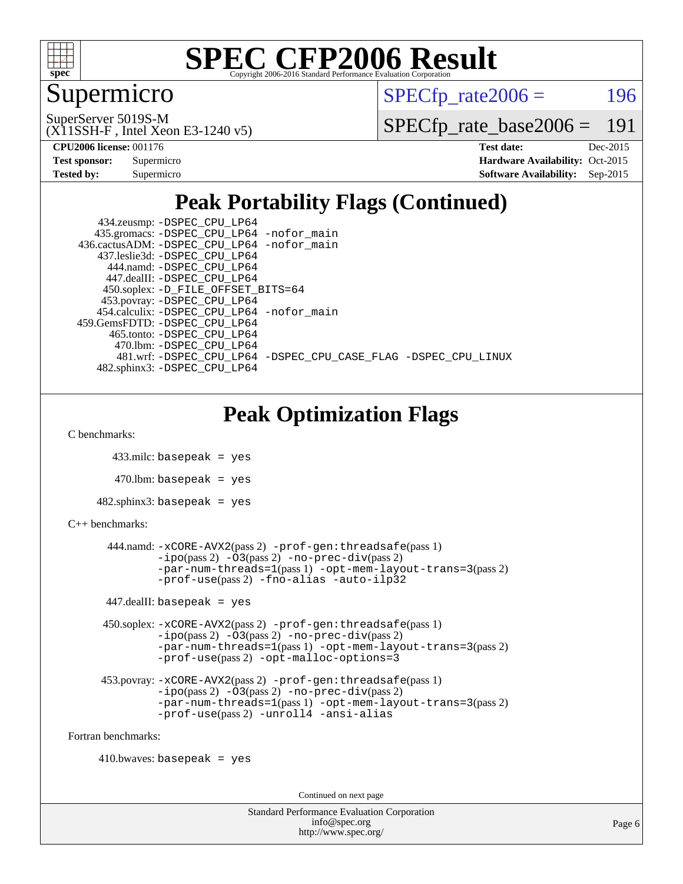

## Supermicro

 $SPECTp\_rate2006 = 196$ 

SuperServer 5019S-M

[SPECfp\\_rate\\_base2006 =](http://www.spec.org/auto/cpu2006/Docs/result-fields.html#SPECfpratebase2006) 191

**[CPU2006 license:](http://www.spec.org/auto/cpu2006/Docs/result-fields.html#CPU2006license)** 001176 **[Test date:](http://www.spec.org/auto/cpu2006/Docs/result-fields.html#Testdate)** Dec-2015

(X11SSH-F , Intel Xeon E3-1240 v5)

| Test sponsor: | Supermicro |
|---------------|------------|
| Tested by:    | Supermicro |

**[Hardware Availability:](http://www.spec.org/auto/cpu2006/Docs/result-fields.html#HardwareAvailability)** Oct-2015 **[Software Availability:](http://www.spec.org/auto/cpu2006/Docs/result-fields.html#SoftwareAvailability)** Sep-2015

## **[Peak Portability Flags \(Continued\)](http://www.spec.org/auto/cpu2006/Docs/result-fields.html#PeakPortabilityFlags)**

 434.zeusmp: [-DSPEC\\_CPU\\_LP64](http://www.spec.org/cpu2006/results/res2016q1/cpu2006-20160106-38563.flags.html#suite_peakPORTABILITY434_zeusmp_DSPEC_CPU_LP64) 435.gromacs: [-DSPEC\\_CPU\\_LP64](http://www.spec.org/cpu2006/results/res2016q1/cpu2006-20160106-38563.flags.html#suite_peakPORTABILITY435_gromacs_DSPEC_CPU_LP64) [-nofor\\_main](http://www.spec.org/cpu2006/results/res2016q1/cpu2006-20160106-38563.flags.html#user_peakLDPORTABILITY435_gromacs_f-nofor_main) 436.cactusADM: [-DSPEC\\_CPU\\_LP64](http://www.spec.org/cpu2006/results/res2016q1/cpu2006-20160106-38563.flags.html#suite_peakPORTABILITY436_cactusADM_DSPEC_CPU_LP64) [-nofor\\_main](http://www.spec.org/cpu2006/results/res2016q1/cpu2006-20160106-38563.flags.html#user_peakLDPORTABILITY436_cactusADM_f-nofor_main) 437.leslie3d: [-DSPEC\\_CPU\\_LP64](http://www.spec.org/cpu2006/results/res2016q1/cpu2006-20160106-38563.flags.html#suite_peakPORTABILITY437_leslie3d_DSPEC_CPU_LP64) 444.namd: [-DSPEC\\_CPU\\_LP64](http://www.spec.org/cpu2006/results/res2016q1/cpu2006-20160106-38563.flags.html#suite_peakPORTABILITY444_namd_DSPEC_CPU_LP64) 447.dealII: [-DSPEC\\_CPU\\_LP64](http://www.spec.org/cpu2006/results/res2016q1/cpu2006-20160106-38563.flags.html#suite_peakPORTABILITY447_dealII_DSPEC_CPU_LP64) 450.soplex: [-D\\_FILE\\_OFFSET\\_BITS=64](http://www.spec.org/cpu2006/results/res2016q1/cpu2006-20160106-38563.flags.html#user_peakPORTABILITY450_soplex_file_offset_bits_64_438cf9856305ebd76870a2c6dc2689ab) 453.povray: [-DSPEC\\_CPU\\_LP64](http://www.spec.org/cpu2006/results/res2016q1/cpu2006-20160106-38563.flags.html#suite_peakPORTABILITY453_povray_DSPEC_CPU_LP64) 454.calculix: [-DSPEC\\_CPU\\_LP64](http://www.spec.org/cpu2006/results/res2016q1/cpu2006-20160106-38563.flags.html#suite_peakPORTABILITY454_calculix_DSPEC_CPU_LP64) [-nofor\\_main](http://www.spec.org/cpu2006/results/res2016q1/cpu2006-20160106-38563.flags.html#user_peakLDPORTABILITY454_calculix_f-nofor_main) 459.GemsFDTD: [-DSPEC\\_CPU\\_LP64](http://www.spec.org/cpu2006/results/res2016q1/cpu2006-20160106-38563.flags.html#suite_peakPORTABILITY459_GemsFDTD_DSPEC_CPU_LP64) 465.tonto: [-DSPEC\\_CPU\\_LP64](http://www.spec.org/cpu2006/results/res2016q1/cpu2006-20160106-38563.flags.html#suite_peakPORTABILITY465_tonto_DSPEC_CPU_LP64) 470.lbm: [-DSPEC\\_CPU\\_LP64](http://www.spec.org/cpu2006/results/res2016q1/cpu2006-20160106-38563.flags.html#suite_peakPORTABILITY470_lbm_DSPEC_CPU_LP64) 481.wrf: [-DSPEC\\_CPU\\_LP64](http://www.spec.org/cpu2006/results/res2016q1/cpu2006-20160106-38563.flags.html#suite_peakPORTABILITY481_wrf_DSPEC_CPU_LP64) [-DSPEC\\_CPU\\_CASE\\_FLAG](http://www.spec.org/cpu2006/results/res2016q1/cpu2006-20160106-38563.flags.html#b481.wrf_peakCPORTABILITY_DSPEC_CPU_CASE_FLAG) [-DSPEC\\_CPU\\_LINUX](http://www.spec.org/cpu2006/results/res2016q1/cpu2006-20160106-38563.flags.html#b481.wrf_peakCPORTABILITY_DSPEC_CPU_LINUX) 482.sphinx3: [-DSPEC\\_CPU\\_LP64](http://www.spec.org/cpu2006/results/res2016q1/cpu2006-20160106-38563.flags.html#suite_peakPORTABILITY482_sphinx3_DSPEC_CPU_LP64)

## **[Peak Optimization Flags](http://www.spec.org/auto/cpu2006/Docs/result-fields.html#PeakOptimizationFlags)**

[C benchmarks](http://www.spec.org/auto/cpu2006/Docs/result-fields.html#Cbenchmarks):

433.milc: basepeak = yes

 $470$ .lbm: basepeak = yes

482.sphinx3: basepeak = yes

#### [C++ benchmarks:](http://www.spec.org/auto/cpu2006/Docs/result-fields.html#CXXbenchmarks)

```
 444.namd: -xCORE-AVX2(pass 2) -prof-gen:threadsafe(pass 1)
-i\text{po}(pass 2) -\overset{\cdot}{\text{O}}3(pass 2)-no-prec-div(pass 2)
-par-num-threads=1(pass 1) -opt-mem-layout-trans=3(pass 2)
-prof-use(pass 2) -fno-alias -auto-ilp32
```
 $447$ .dealII: basepeak = yes

 450.soplex: [-xCORE-AVX2](http://www.spec.org/cpu2006/results/res2016q1/cpu2006-20160106-38563.flags.html#user_peakPASS2_CXXFLAGSPASS2_LDFLAGS450_soplex_f-xAVX2_5f5fc0cbe2c9f62c816d3e45806c70d7)(pass 2) [-prof-gen:threadsafe](http://www.spec.org/cpu2006/results/res2016q1/cpu2006-20160106-38563.flags.html#user_peakPASS1_CXXFLAGSPASS1_LDFLAGS450_soplex_prof_gen_21a26eb79f378b550acd7bec9fe4467a)(pass 1) [-ipo](http://www.spec.org/cpu2006/results/res2016q1/cpu2006-20160106-38563.flags.html#user_peakPASS2_CXXFLAGSPASS2_LDFLAGS450_soplex_f-ipo)(pass 2) [-O3](http://www.spec.org/cpu2006/results/res2016q1/cpu2006-20160106-38563.flags.html#user_peakPASS2_CXXFLAGSPASS2_LDFLAGS450_soplex_f-O3)(pass 2) [-no-prec-div](http://www.spec.org/cpu2006/results/res2016q1/cpu2006-20160106-38563.flags.html#user_peakPASS2_CXXFLAGSPASS2_LDFLAGS450_soplex_f-no-prec-div)(pass 2) [-par-num-threads=1](http://www.spec.org/cpu2006/results/res2016q1/cpu2006-20160106-38563.flags.html#user_peakPASS1_CXXFLAGSPASS1_LDFLAGS450_soplex_par_num_threads_786a6ff141b4e9e90432e998842df6c2)(pass 1) [-opt-mem-layout-trans=3](http://www.spec.org/cpu2006/results/res2016q1/cpu2006-20160106-38563.flags.html#user_peakPASS2_CXXFLAGS450_soplex_f-opt-mem-layout-trans_a7b82ad4bd7abf52556d4961a2ae94d5)(pass 2) [-prof-use](http://www.spec.org/cpu2006/results/res2016q1/cpu2006-20160106-38563.flags.html#user_peakPASS2_CXXFLAGSPASS2_LDFLAGS450_soplex_prof_use_bccf7792157ff70d64e32fe3e1250b55)(pass 2) [-opt-malloc-options=3](http://www.spec.org/cpu2006/results/res2016q1/cpu2006-20160106-38563.flags.html#user_peakOPTIMIZE450_soplex_f-opt-malloc-options_13ab9b803cf986b4ee62f0a5998c2238)

```
 453.povray: -xCORE-AVX2(pass 2) -prof-gen:threadsafe(pass 1)
-O3(pass 2)-no-prec-div(pass 2)
-par-num-threads=1(pass 1) -opt-mem-layout-trans=3(pass 2)
-prof-use(pass 2) -unroll4 -ansi-alias
```
[Fortran benchmarks](http://www.spec.org/auto/cpu2006/Docs/result-fields.html#Fortranbenchmarks):

 $410.bwaves: basepeak = yes$ 

Continued on next page